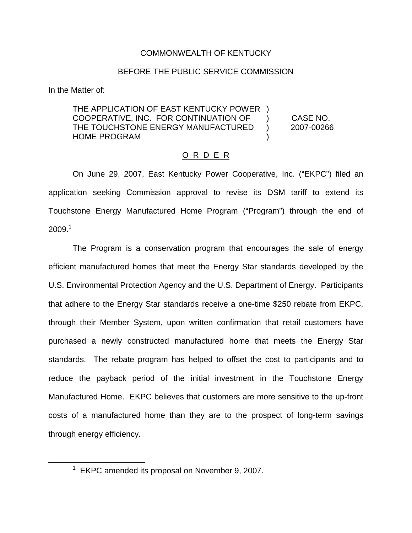## COMMONWEALTH OF KENTUCKY

## BEFORE THE PUBLIC SERVICE COMMISSION

In the Matter of:

## THE APPLICATION OF EAST KENTUCKY POWER ) COOPERATIVE, INC. FOR CONTINUATION OF ) CASE NO. THE TOUCHSTONE ENERGY MANUFACTURED ) 2007-00266 HOME PROGRAM (1999)

## O R D E R

On June 29, 2007, East Kentucky Power Cooperative, Inc. ("EKPC") filed an application seeking Commission approval to revise its DSM tariff to extend its Touchstone Energy Manufactured Home Program ("Program") through the end of  $2009<sup>1</sup>$ 

The Program is a conservation program that encourages the sale of energy efficient manufactured homes that meet the Energy Star standards developed by the U.S. Environmental Protection Agency and the U.S. Department of Energy. Participants that adhere to the Energy Star standards receive a one-time \$250 rebate from EKPC, through their Member System, upon written confirmation that retail customers have purchased a newly constructed manufactured home that meets the Energy Star standards. The rebate program has helped to offset the cost to participants and to reduce the payback period of the initial investment in the Touchstone Energy Manufactured Home. EKPC believes that customers are more sensitive to the up-front costs of a manufactured home than they are to the prospect of long-term savings through energy efficiency.

 $1$  EKPC amended its proposal on November 9, 2007.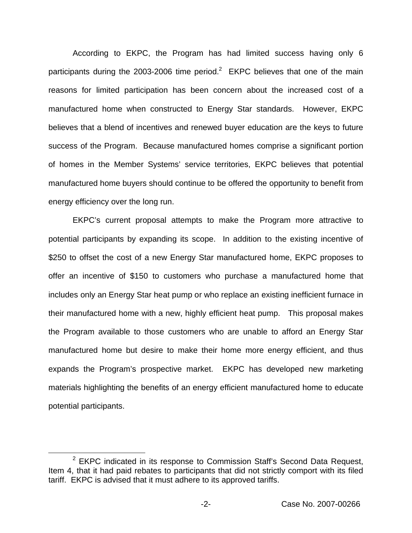According to EKPC, the Program has had limited success having only 6 participants during the 2003-2006 time period.<sup>2</sup> EKPC believes that one of the main reasons for limited participation has been concern about the increased cost of a manufactured home when constructed to Energy Star standards. However, EKPC believes that a blend of incentives and renewed buyer education are the keys to future success of the Program. Because manufactured homes comprise a significant portion of homes in the Member Systems' service territories, EKPC believes that potential manufactured home buyers should continue to be offered the opportunity to benefit from energy efficiency over the long run.

EKPC's current proposal attempts to make the Program more attractive to potential participants by expanding its scope. In addition to the existing incentive of \$250 to offset the cost of a new Energy Star manufactured home, EKPC proposes to offer an incentive of \$150 to customers who purchase a manufactured home that includes only an Energy Star heat pump or who replace an existing inefficient furnace in their manufactured home with a new, highly efficient heat pump. This proposal makes the Program available to those customers who are unable to afford an Energy Star manufactured home but desire to make their home more energy efficient, and thus expands the Program's prospective market. EKPC has developed new marketing materials highlighting the benefits of an energy efficient manufactured home to educate potential participants.

 $2$  EKPC indicated in its response to Commission Staff's Second Data Request, Item 4, that it had paid rebates to participants that did not strictly comport with its filed tariff. EKPC is advised that it must adhere to its approved tariffs.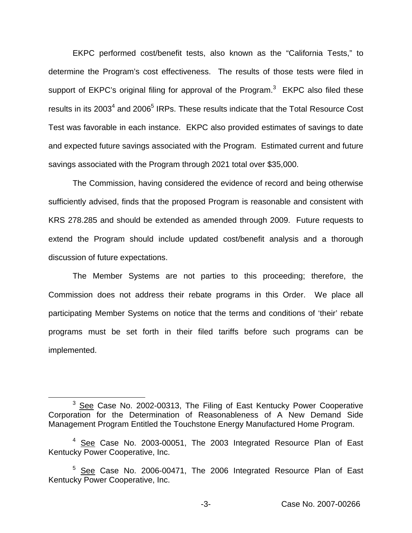EKPC performed cost/benefit tests, also known as the "California Tests," to determine the Program's cost effectiveness. The results of those tests were filed in support of EKPC's original filing for approval of the Program.<sup>3</sup> EKPC also filed these results in its 2003<sup>4</sup> and 2006<sup>5</sup> IRPs. These results indicate that the Total Resource Cost Test was favorable in each instance. EKPC also provided estimates of savings to date and expected future savings associated with the Program. Estimated current and future savings associated with the Program through 2021 total over \$35,000.

The Commission, having considered the evidence of record and being otherwise sufficiently advised, finds that the proposed Program is reasonable and consistent with KRS 278.285 and should be extended as amended through 2009. Future requests to extend the Program should include updated cost/benefit analysis and a thorough discussion of future expectations.

The Member Systems are not parties to this proceeding; therefore, the Commission does not address their rebate programs in this Order. We place all participating Member Systems on notice that the terms and conditions of 'their' rebate programs must be set forth in their filed tariffs before such programs can be implemented.

<sup>&</sup>lt;sup>3</sup> See Case No. 2002-00313, The Filing of East Kentucky Power Cooperative Corporation for the Determination of Reasonableness of A New Demand Side Management Program Entitled the Touchstone Energy Manufactured Home Program.

<sup>&</sup>lt;sup>4</sup> See Case No. 2003-00051, The 2003 Integrated Resource Plan of East Kentucky Power Cooperative, Inc.

<sup>&</sup>lt;sup>5</sup> See Case No. 2006-00471, The 2006 Integrated Resource Plan of East Kentucky Power Cooperative, Inc.